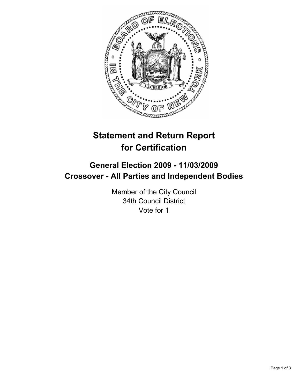

# **Statement and Return Report for Certification**

# **General Election 2009 - 11/03/2009 Crossover - All Parties and Independent Bodies**

Member of the City Council 34th Council District Vote for 1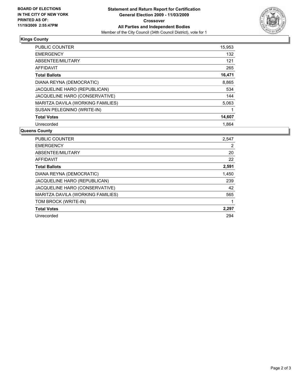

## **Kings County**

| <b>PUBLIC COUNTER</b>               | 15,953 |
|-------------------------------------|--------|
| <b>EMERGENCY</b>                    | 132    |
| ABSENTEE/MILITARY                   | 121    |
| AFFIDAVIT                           | 265    |
| <b>Total Ballots</b>                | 16,471 |
| DIANA REYNA (DEMOCRATIC)            | 8,865  |
| <b>JACQUELINE HARO (REPUBLICAN)</b> | 534    |
| JACQUELINE HARO (CONSERVATIVE)      | 144    |
| MARITZA DAVILA (WORKING FAMILIES)   | 5,063  |
| SUSAN PELEGNINO (WRITE-IN)          |        |
| <b>Total Votes</b>                  | 14,607 |
| Unrecorded                          | 1.864  |

### **Queens County**

| <b>PUBLIC COUNTER</b>             | 2,547 |
|-----------------------------------|-------|
| <b>EMERGENCY</b>                  | 2     |
| ABSENTEE/MILITARY                 | 20    |
| <b>AFFIDAVIT</b>                  | 22    |
| <b>Total Ballots</b>              | 2,591 |
| DIANA REYNA (DEMOCRATIC)          | 1,450 |
| JACQUELINE HARO (REPUBLICAN)      | 239   |
| JACQUELINE HARO (CONSERVATIVE)    | 42    |
| MARITZA DAVILA (WORKING FAMILIES) | 565   |
| TOM BROCK (WRITE-IN)              |       |
| <b>Total Votes</b>                | 2,297 |
| Unrecorded                        | 294   |